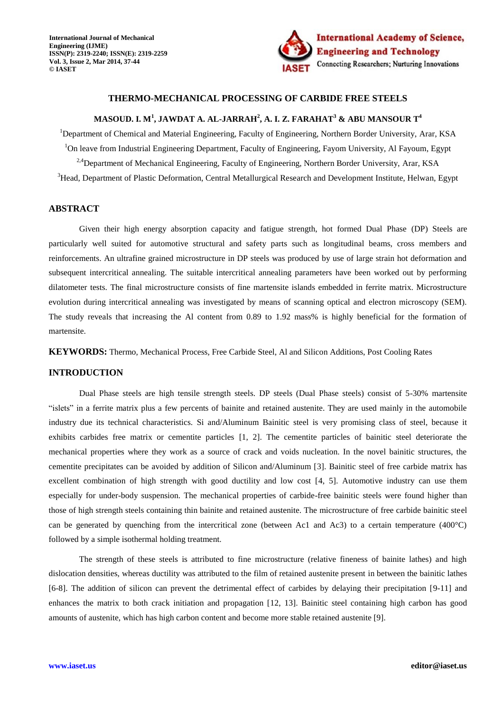

# **THERMO-MECHANICAL PROCESSING OF CARBIDE FREE STEELS**

# **MASOUD. I. M<sup>1</sup> , JAWDAT A. AL-JARRAH<sup>2</sup> , A. I. Z. FARAHAT<sup>3</sup> & ABU MANSOUR T<sup>4</sup>**

<sup>1</sup>Department of Chemical and Material Engineering, Faculty of Engineering, Northern Border University, Arar, KSA <sup>1</sup>On leave from Industrial Engineering Department, Faculty of Engineering, Fayom University, Al Fayoum, Egypt <sup>2,4</sup>Department of Mechanical Engineering, Faculty of Engineering, Northern Border University, Arar, KSA <sup>3</sup>Head, Department of Plastic Deformation, Central Metallurgical Research and Development Institute, Helwan, Egypt

# **ABSTRACT**

Given their high energy absorption capacity and fatigue strength, hot formed Dual Phase (DP) Steels are particularly well suited for automotive structural and safety parts such as longitudinal beams, cross members and reinforcements. An ultrafine grained microstructure in DP steels was produced by use of large strain hot deformation and subsequent intercritical annealing. The suitable intercritical annealing parameters have been worked out by performing dilatometer tests. The final microstructure consists of fine martensite islands embedded in ferrite matrix. Microstructure evolution during intercritical annealing was investigated by means of scanning optical and electron microscopy (SEM). The study reveals that increasing the Al content from 0.89 to 1.92 mass% is highly beneficial for the formation of martensite.

**KEYWORDS:** Thermo, Mechanical Process, Free Carbide Steel, Al and Silicon Additions, Post Cooling Rates

#### **INTRODUCTION**

Dual Phase steels are high tensile strength steels. DP steels (Dual Phase steels) consist of 5-30% martensite "islets" in a ferrite matrix plus a few percents of bainite and retained austenite. They are used mainly in the automobile industry due its technical characteristics. Si and/Aluminum Bainitic steel is very promising class of steel, because it exhibits carbides free matrix or cementite particles [1, 2]. The cementite particles of bainitic steel deteriorate the mechanical properties where they work as a source of crack and voids nucleation. In the novel bainitic structures, the cementite precipitates can be avoided by addition of Silicon and/Aluminum [3]. Bainitic steel of free carbide matrix has excellent combination of high strength with good ductility and low cost [4, 5]. Automotive industry can use them especially for under-body suspension. The mechanical properties of carbide-free bainitic steels were found higher than those of high strength steels containing thin bainite and retained austenite. The microstructure of free carbide bainitic steel can be generated by quenching from the intercritical zone (between Ac1 and Ac3) to a certain temperature  $(400^{\circ}C)$ followed by a simple isothermal holding treatment.

The strength of these steels is attributed to fine microstructure (relative fineness of bainite lathes) and high dislocation densities, whereas ductility was attributed to the film of retained austenite present in between the bainitic lathes [6-8]. The addition of silicon can prevent the detrimental effect of carbides by delaying their precipitation [9-11] and enhances the matrix to both crack initiation and propagation [12, 13]. Bainitic steel containing high carbon has good amounts of austenite, which has high carbon content and become more stable retained austenite [9].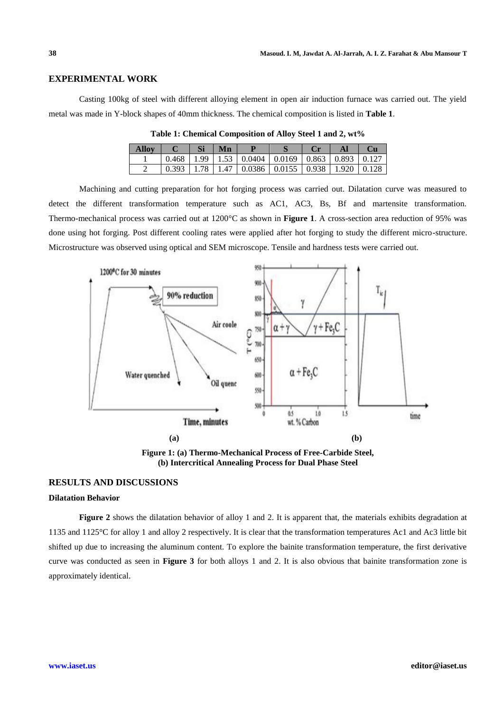#### **EXPERIMENTAL WORK**

Casting 100kg of steel with different alloying element in open air induction furnace was carried out. The yield metal was made in Y-block shapes of 40mm thickness. The chemical composition is listed in **Table 1**.

| <b>Allov</b> |  | Mn |                                                                 |  |  |
|--------------|--|----|-----------------------------------------------------------------|--|--|
|              |  |    | $0.468$   1.99   1.53   0.0404   0.0169   0.863   0.893   0.127 |  |  |
|              |  |    | $0.393$   1.78   1.47   0.0386   0.0155   0.938   1.920   0.128 |  |  |

**Table 1: Chemical Composition of Alloy Steel 1 and 2, wt%**

Machining and cutting preparation for hot forging process was carried out. Dilatation curve was measured to detect the different transformation temperature such as AC1, AC3, Bs, Bf and martensite transformation. Thermo-mechanical process was carried out at 1200°C as shown in **Figure 1**. A cross-section area reduction of 95% was done using hot forging. Post different cooling rates were applied after hot forging to study the different micro-structure. Microstructure was observed using optical and SEM microscope. Tensile and hardness tests were carried out.



**Figure 1: (a) Thermo-Mechanical Process of Free-Carbide Steel, (b) Intercritical Annealing Process for Dual Phase Steel**

#### **RESULTS AND DISCUSSIONS**

## **Dilatation Behavior**

**Figure 2** shows the dilatation behavior of alloy 1 and 2. It is apparent that, the materials exhibits degradation at 1135 and 1125°C for alloy 1 and alloy 2 respectively. It is clear that the transformation temperatures Ac1 and Ac3 little bit shifted up due to increasing the aluminum content. To explore the bainite transformation temperature, the first derivative curve was conducted as seen in **Figure 3** for both alloys 1 and 2. It is also obvious that bainite transformation zone is approximately identical.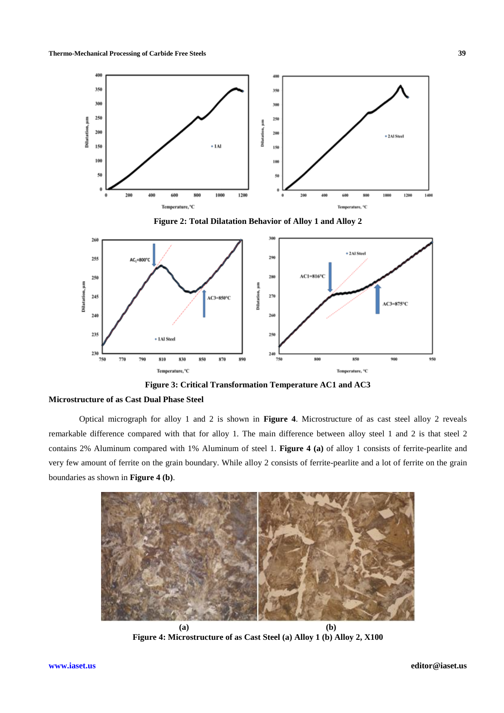

**Figure 2: Total Dilatation Behavior of Alloy 1 and Alloy 2**



**Figure 3: Critical Transformation Temperature AC1 and AC3**

### **Microstructure of as Cast Dual Phase Steel**

Optical micrograph for alloy 1 and 2 is shown in **Figure 4**. Microstructure of as cast steel alloy 2 reveals remarkable difference compared with that for alloy 1. The main difference between alloy steel 1 and 2 is that steel 2 contains 2% Aluminum compared with 1% Aluminum of steel 1. **Figure 4 (a)** of alloy 1 consists of ferrite-pearlite and very few amount of ferrite on the grain boundary. While alloy 2 consists of ferrite-pearlite and a lot of ferrite on the grain boundaries as shown in **Figure 4 (b)**.



**(a) (b) Figure 4: Microstructure of as Cast Steel (a) Alloy 1 (b) Alloy 2, X100**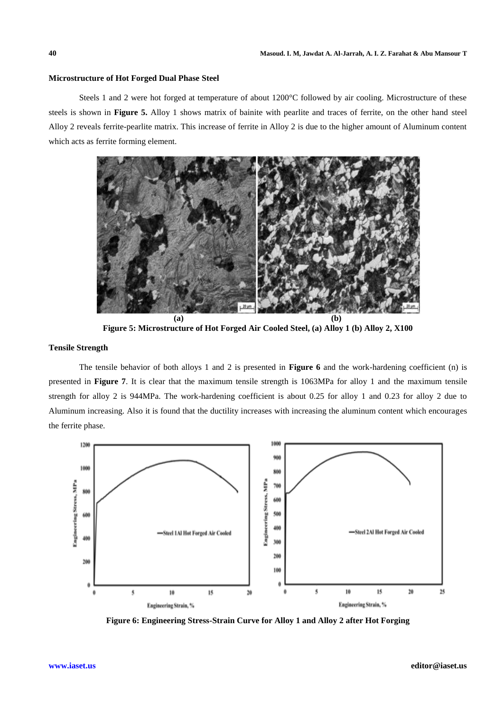#### **Microstructure of Hot Forged Dual Phase Steel**

Steels 1 and 2 were hot forged at temperature of about 1200°C followed by air cooling. Microstructure of these steels is shown in **Figure 5.** Alloy 1 shows matrix of bainite with pearlite and traces of ferrite, on the other hand steel Alloy 2 reveals ferrite-pearlite matrix. This increase of ferrite in Alloy 2 is due to the higher amount of Aluminum content which acts as ferrite forming element.



**Figure 5: Microstructure of Hot Forged Air Cooled Steel, (a) Alloy 1 (b) Alloy 2, X100**

# **Tensile Strength**

The tensile behavior of both alloys 1 and 2 is presented in **Figure 6** and the work-hardening coefficient (n) is presented in **Figure 7**. It is clear that the maximum tensile strength is 1063MPa for alloy 1 and the maximum tensile strength for alloy 2 is 944MPa. The work-hardening coefficient is about 0.25 for alloy 1 and 0.23 for alloy 2 due to Aluminum increasing. Also it is found that the ductility increases with increasing the aluminum content which encourages the ferrite phase.



**Figure 6: Engineering Stress-Strain Curve for Alloy 1 and Alloy 2 after Hot Forging**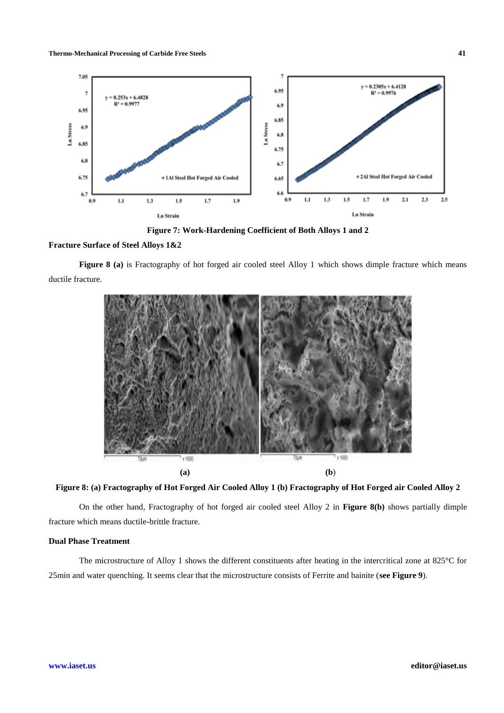**Thermo-Mechanical Processing of Carbide Free Steels 41**



**Figure 7: Work-Hardening Coefficient of Both Alloys 1 and 2**

#### **Fracture Surface of Steel Alloys 1&2**

**Figure 8 (a)** is Fractography of hot forged air cooled steel Alloy 1 which shows dimple fracture which means ductile fracture.



## **Figure 8: (a) Fractography of Hot Forged Air Cooled Alloy 1 (b) Fractography of Hot Forged air Cooled Alloy 2**

On the other hand, Fractography of hot forged air cooled steel Alloy 2 in **Figure 8(b)** shows partially dimple fracture which means ductile-brittle fracture.

#### **Dual Phase Treatment**

The microstructure of Alloy 1 shows the different constituents after heating in the intercritical zone at 825°C for 25min and water quenching. It seems clear that the microstructure consists of Ferrite and bainite (**see Figure 9**).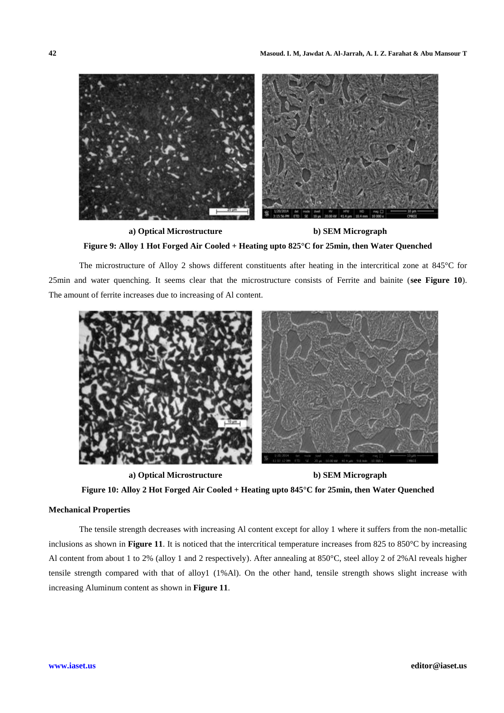

**a) Optical Microstructure b) SEM Micrograph Figure 9: Alloy 1 Hot Forged Air Cooled + Heating upto 825°C for 25min, then Water Quenched**

The microstructure of Alloy 2 shows different constituents after heating in the intercritical zone at 845°C for 25min and water quenching. It seems clear that the microstructure consists of Ferrite and bainite (**see Figure 10**). The amount of ferrite increases due to increasing of Al content.



**a) Optical Microstructure b) SEM Micrograph**

# **Figure 10: Alloy 2 Hot Forged Air Cooled + Heating upto 845°C for 25min, then Water Quenched**

#### **Mechanical Properties**

The tensile strength decreases with increasing Al content except for alloy 1 where it suffers from the non-metallic inclusions as shown in **Figure 11**. It is noticed that the intercritical temperature increases from 825 to 850°C by increasing Al content from about 1 to 2% (alloy 1 and 2 respectively). After annealing at 850°C, steel alloy 2 of 2%Al reveals higher tensile strength compared with that of alloy1 (1%Al). On the other hand, tensile strength shows slight increase with increasing Aluminum content as shown in **Figure 11**.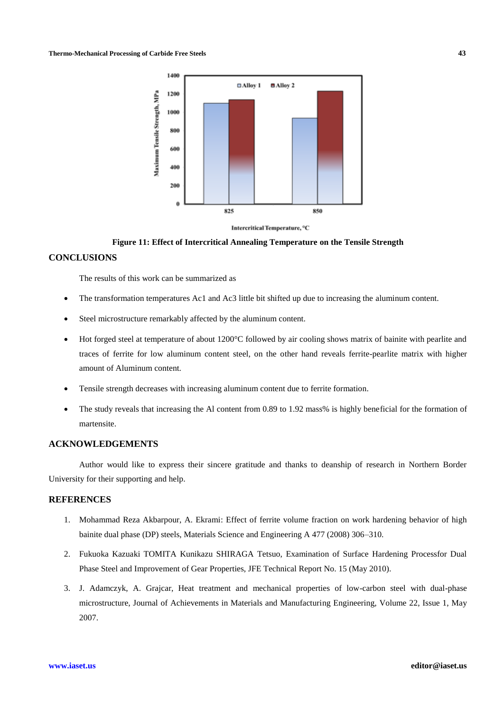

**Figure 11: Effect of Intercritical Annealing Temperature on the Tensile Strength**

#### **CONCLUSIONS**

The results of this work can be summarized as

- The transformation temperatures Ac1 and Ac3 little bit shifted up due to increasing the aluminum content.
- Steel microstructure remarkably affected by the aluminum content.
- Hot forged steel at temperature of about 1200°C followed by air cooling shows matrix of bainite with pearlite and traces of ferrite for low aluminum content steel, on the other hand reveals ferrite-pearlite matrix with higher amount of Aluminum content.
- Tensile strength decreases with increasing aluminum content due to ferrite formation.
- The study reveals that increasing the Al content from 0.89 to 1.92 mass% is highly beneficial for the formation of martensite.

## **ACKNOWLEDGEMENTS**

Author would like to express their sincere gratitude and thanks to deanship of research in Northern Border University for their supporting and help.

# **REFERENCES**

- 1. Mohammad Reza Akbarpour, A. Ekrami: Effect of ferrite volume fraction on work hardening behavior of high bainite dual phase (DP) steels, Materials Science and Engineering A 477 (2008) 306–310.
- 2. Fukuoka Kazuaki TOMITA Kunikazu SHIRAGA Tetsuo, Examination of Surface Hardening Processfor Dual Phase Steel and Improvement of Gear Properties, JFE Technical Report No. 15 (May 2010).
- 3. J. Adamczyk, A. Grajcar, Heat treatment and mechanical properties of low-carbon steel with dual-phase microstructure, Journal of Achievements in Materials and Manufacturing Engineering, Volume 22, Issue 1, May 2007.